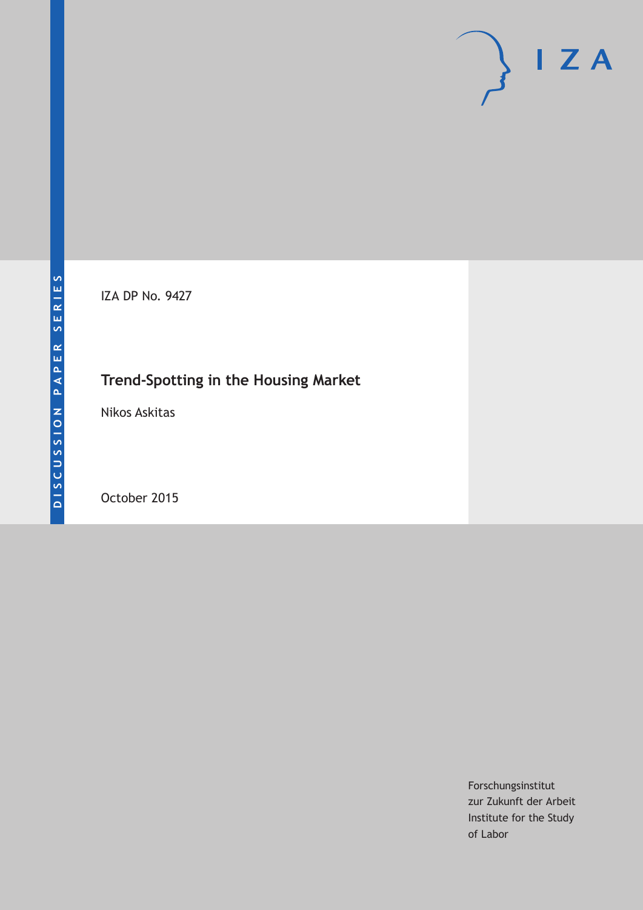IZA DP No. 9427

# **Trend-Spotting in the Housing Market**

Nikos Askitas

October 2015

Forschungsinstitut zur Zukunft der Arbeit Institute for the Study of Labor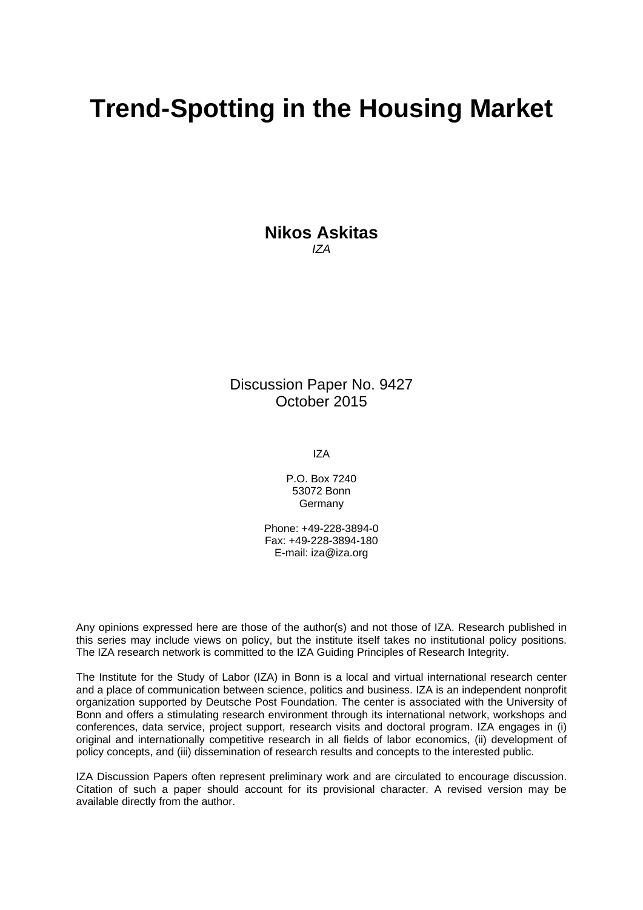# **Trend-Spotting in the Housing Market**

**Nikos Askitas**  *IZA* 

Discussion Paper No. 9427 October 2015

IZA

P.O. Box 7240 53072 Bonn **Germany** 

Phone: +49-228-3894-0 Fax: +49-228-3894-180 E-mail: iza@iza.org

Any opinions expressed here are those of the author(s) and not those of IZA. Research published in this series may include views on policy, but the institute itself takes no institutional policy positions. The IZA research network is committed to the IZA Guiding Principles of Research Integrity.

The Institute for the Study of Labor (IZA) in Bonn is a local and virtual international research center and a place of communication between science, politics and business. IZA is an independent nonprofit organization supported by Deutsche Post Foundation. The center is associated with the University of Bonn and offers a stimulating research environment through its international network, workshops and conferences, data service, project support, research visits and doctoral program. IZA engages in (i) original and internationally competitive research in all fields of labor economics, (ii) development of policy concepts, and (iii) dissemination of research results and concepts to the interested public.

IZA Discussion Papers often represent preliminary work and are circulated to encourage discussion. Citation of such a paper should account for its provisional character. A revised version may be available directly from the author.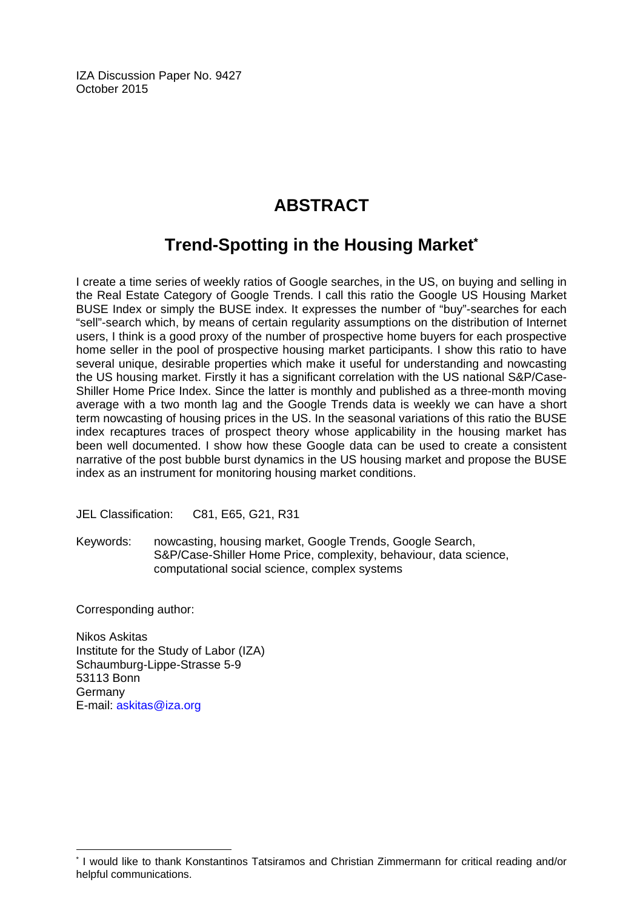IZA Discussion Paper No. 9427 October 2015

# **ABSTRACT**

# **Trend-Spotting in the Housing Market\***

I create a time series of weekly ratios of Google searches, in the US, on buying and selling in the Real Estate Category of Google Trends. I call this ratio the Google US Housing Market BUSE Index or simply the BUSE index. It expresses the number of "buy"-searches for each "sell"-search which, by means of certain regularity assumptions on the distribution of Internet users, I think is a good proxy of the number of prospective home buyers for each prospective home seller in the pool of prospective housing market participants. I show this ratio to have several unique, desirable properties which make it useful for understanding and nowcasting the US housing market. Firstly it has a significant correlation with the US national S&P/Case-Shiller Home Price Index. Since the latter is monthly and published as a three-month moving average with a two month lag and the Google Trends data is weekly we can have a short term nowcasting of housing prices in the US. In the seasonal variations of this ratio the BUSE index recaptures traces of prospect theory whose applicability in the housing market has been well documented. I show how these Google data can be used to create a consistent narrative of the post bubble burst dynamics in the US housing market and propose the BUSE index as an instrument for monitoring housing market conditions.

JEL Classification: C81, E65, G21, R31

Keywords: nowcasting, housing market, Google Trends, Google Search, S&P/Case-Shiller Home Price, complexity, behaviour, data science, computational social science, complex systems

Corresponding author:

 $\overline{\phantom{a}}$ 

Nikos Askitas Institute for the Study of Labor (IZA) Schaumburg-Lippe-Strasse 5-9 53113 Bonn **Germany** E-mail: askitas@iza.org

<sup>\*</sup> I would like to thank Konstantinos Tatsiramos and Christian Zimmermann for critical reading and/or helpful communications.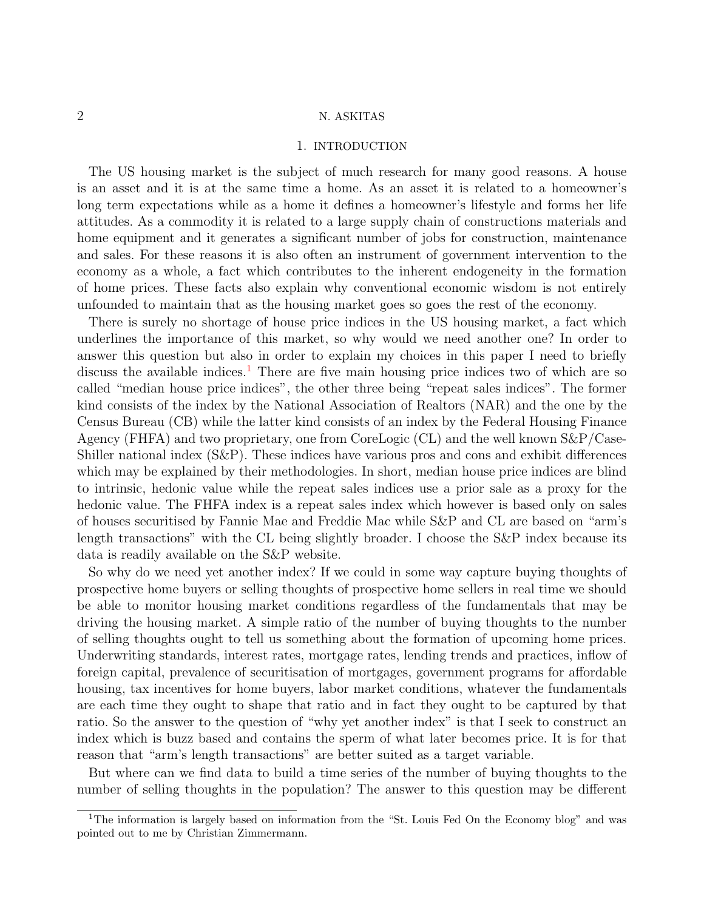## 1. INTRODUCTION

The US housing market is the subject of much research for many good reasons. A house is an asset and it is at the same time a home. As an asset it is related to a homeowner's long term expectations while as a home it defines a homeowner's lifestyle and forms her life attitudes. As a commodity it is related to a large supply chain of constructions materials and home equipment and it generates a significant number of jobs for construction, maintenance and sales. For these reasons it is also often an instrument of government intervention to the economy as a whole, a fact which contributes to the inherent endogeneity in the formation of home prices. These facts also explain why conventional economic wisdom is not entirely unfounded to maintain that as the housing market goes so goes the rest of the economy.

There is surely no shortage of house price indices in the US housing market, a fact which underlines the importance of this market, so why would we need another one? In order to answer this question but also in order to explain my choices in this paper I need to briefly discuss the available indices.<sup>[1](#page-3-0)</sup> There are five main housing price indices two of which are so called "median house price indices", the other three being "repeat sales indices". The former kind consists of the index by the National Association of Realtors (NAR) and the one by the Census Bureau (CB) while the latter kind consists of an index by the Federal Housing Finance Agency (FHFA) and two proprietary, one from CoreLogic (CL) and the well known S&P/Case-Shiller national index (S&P). These indices have various pros and cons and exhibit differences which may be explained by their methodologies. In short, median house price indices are blind to intrinsic, hedonic value while the repeat sales indices use a prior sale as a proxy for the hedonic value. The FHFA index is a repeat sales index which however is based only on sales of houses securitised by Fannie Mae and Freddie Mac while S&P and CL are based on "arm's length transactions" with the CL being slightly broader. I choose the S&P index because its data is readily available on the S&P website.

So why do we need yet another index? If we could in some way capture buying thoughts of prospective home buyers or selling thoughts of prospective home sellers in real time we should be able to monitor housing market conditions regardless of the fundamentals that may be driving the housing market. A simple ratio of the number of buying thoughts to the number of selling thoughts ought to tell us something about the formation of upcoming home prices. Underwriting standards, interest rates, mortgage rates, lending trends and practices, inflow of foreign capital, prevalence of securitisation of mortgages, government programs for affordable housing, tax incentives for home buyers, labor market conditions, whatever the fundamentals are each time they ought to shape that ratio and in fact they ought to be captured by that ratio. So the answer to the question of "why yet another index" is that I seek to construct an index which is buzz based and contains the sperm of what later becomes price. It is for that reason that "arm's length transactions" are better suited as a target variable.

But where can we find data to build a time series of the number of buying thoughts to the number of selling thoughts in the population? The answer to this question may be different

<span id="page-3-0"></span><sup>&</sup>lt;sup>1</sup>The information is largely based on information from the "St. Louis Fed On the Economy blog" and was pointed out to me by Christian Zimmermann.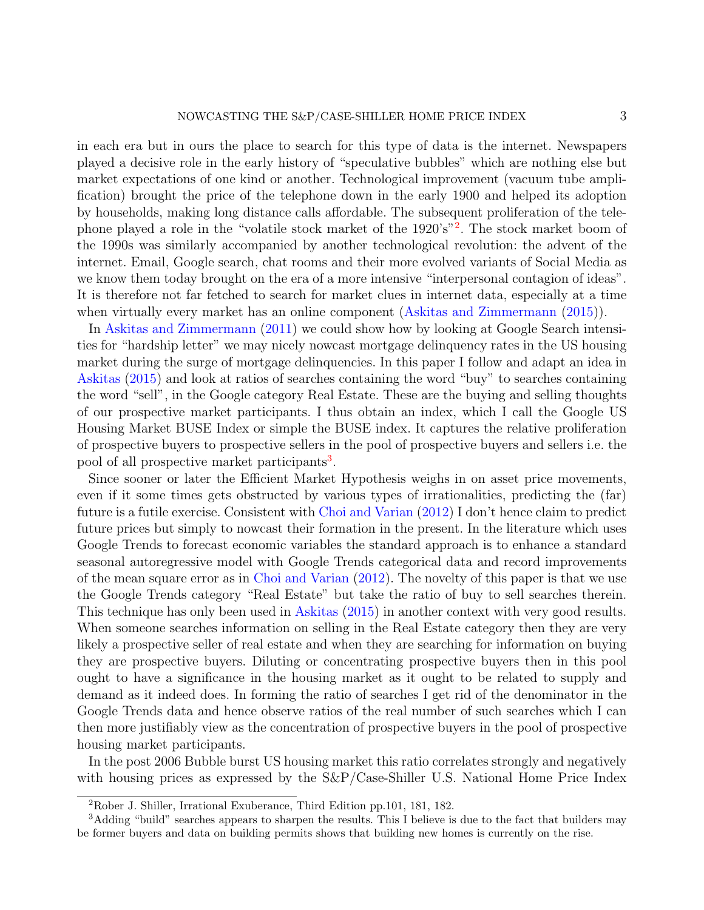in each era but in ours the place to search for this type of data is the internet. Newspapers played a decisive role in the early history of "speculative bubbles" which are nothing else but market expectations of one kind or another. Technological improvement (vacuum tube amplification) brought the price of the telephone down in the early 1900 and helped its adoption by households, making long distance calls affordable. The subsequent proliferation of the tele-phone played a role in the "volatile stock market of the 19[2](#page-4-0)0's"<sup>2</sup>. The stock market boom of the 1990s was similarly accompanied by another technological revolution: the advent of the internet. Email, Google search, chat rooms and their more evolved variants of Social Media as we know them today brought on the era of a more intensive "interpersonal contagion of ideas". It is therefore not far fetched to search for market clues in internet data, especially at a time when virtually every market has an online component [\(Askitas and Zimmermann](#page-13-0) [\(2015\)](#page-13-0)).

In [Askitas and Zimmermann](#page-13-1) [\(2011\)](#page-13-1) we could show how by looking at Google Search intensities for "hardship letter" we may nicely nowcast mortgage delinquency rates in the US housing market during the surge of mortgage delinquencies. In this paper I follow and adapt an idea in [Askitas](#page-13-2) [\(2015\)](#page-13-2) and look at ratios of searches containing the word "buy" to searches containing the word "sell", in the Google category Real Estate. These are the buying and selling thoughts of our prospective market participants. I thus obtain an index, which I call the Google US Housing Market BUSE Index or simple the BUSE index. It captures the relative proliferation of prospective buyers to prospective sellers in the pool of prospective buyers and sellers i.e. the pool of all prospective market participants<sup>[3](#page-4-1)</sup>.

Since sooner or later the Efficient Market Hypothesis weighs in on asset price movements, even if it some times gets obstructed by various types of irrationalities, predicting the (far) future is a futile exercise. Consistent with [Choi and Varian](#page-13-3) [\(2012\)](#page-13-3) I don't hence claim to predict future prices but simply to nowcast their formation in the present. In the literature which uses Google Trends to forecast economic variables the standard approach is to enhance a standard seasonal autoregressive model with Google Trends categorical data and record improvements of the mean square error as in [Choi and Varian](#page-13-3) [\(2012\)](#page-13-3). The novelty of this paper is that we use the Google Trends category "Real Estate" but take the ratio of buy to sell searches therein. This technique has only been used in [Askitas](#page-13-2) [\(2015\)](#page-13-2) in another context with very good results. When someone searches information on selling in the Real Estate category then they are very likely a prospective seller of real estate and when they are searching for information on buying they are prospective buyers. Diluting or concentrating prospective buyers then in this pool ought to have a significance in the housing market as it ought to be related to supply and demand as it indeed does. In forming the ratio of searches I get rid of the denominator in the Google Trends data and hence observe ratios of the real number of such searches which I can then more justifiably view as the concentration of prospective buyers in the pool of prospective housing market participants.

In the post 2006 Bubble burst US housing market this ratio correlates strongly and negatively with housing prices as expressed by the  $S\&P/C$ ase-Shiller U.S. National Home Price Index

<span id="page-4-1"></span><span id="page-4-0"></span><sup>2</sup>Rober J. Shiller, Irrational Exuberance, Third Edition pp.101, 181, 182.

<sup>3</sup>Adding "build" searches appears to sharpen the results. This I believe is due to the fact that builders may be former buyers and data on building permits shows that building new homes is currently on the rise.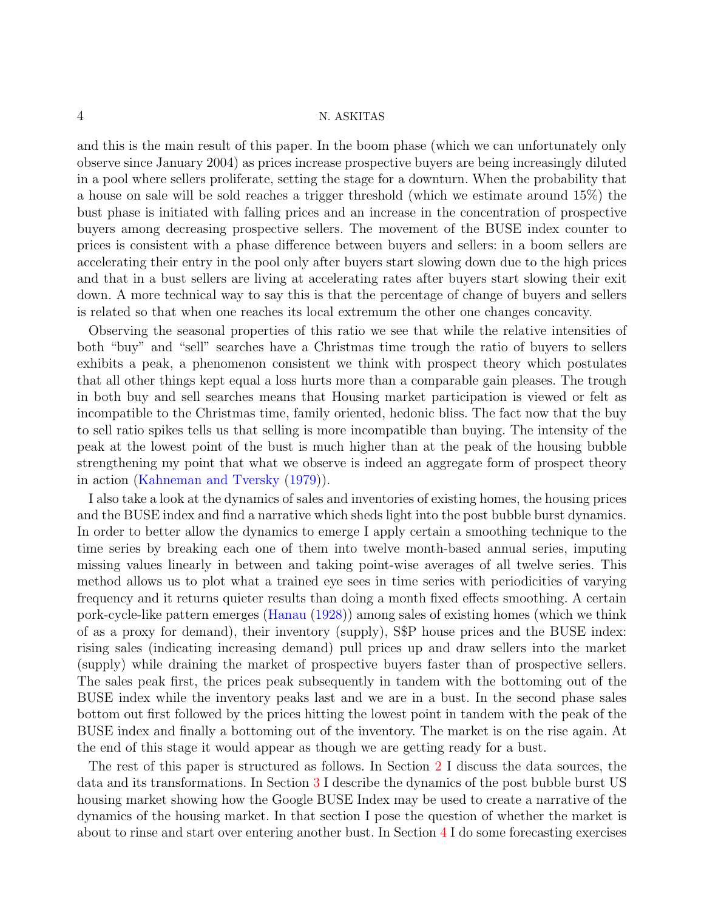and this is the main result of this paper. In the boom phase (which we can unfortunately only observe since January 2004) as prices increase prospective buyers are being increasingly diluted in a pool where sellers proliferate, setting the stage for a downturn. When the probability that a house on sale will be sold reaches a trigger threshold (which we estimate around 15%) the bust phase is initiated with falling prices and an increase in the concentration of prospective buyers among decreasing prospective sellers. The movement of the BUSE index counter to prices is consistent with a phase difference between buyers and sellers: in a boom sellers are accelerating their entry in the pool only after buyers start slowing down due to the high prices and that in a bust sellers are living at accelerating rates after buyers start slowing their exit down. A more technical way to say this is that the percentage of change of buyers and sellers is related so that when one reaches its local extremum the other one changes concavity.

Observing the seasonal properties of this ratio we see that while the relative intensities of both "buy" and "sell" searches have a Christmas time trough the ratio of buyers to sellers exhibits a peak, a phenomenon consistent we think with prospect theory which postulates that all other things kept equal a loss hurts more than a comparable gain pleases. The trough in both buy and sell searches means that Housing market participation is viewed or felt as incompatible to the Christmas time, family oriented, hedonic bliss. The fact now that the buy to sell ratio spikes tells us that selling is more incompatible than buying. The intensity of the peak at the lowest point of the bust is much higher than at the peak of the housing bubble strengthening my point that what we observe is indeed an aggregate form of prospect theory in action [\(Kahneman and Tversky](#page-13-4) [\(1979\)](#page-13-4)).

I also take a look at the dynamics of sales and inventories of existing homes, the housing prices and the BUSE index and find a narrative which sheds light into the post bubble burst dynamics. In order to better allow the dynamics to emerge I apply certain a smoothing technique to the time series by breaking each one of them into twelve month-based annual series, imputing missing values linearly in between and taking point-wise averages of all twelve series. This method allows us to plot what a trained eye sees in time series with periodicities of varying frequency and it returns quieter results than doing a month fixed effects smoothing. A certain pork-cycle-like pattern emerges [\(Hanau](#page-13-5) [\(1928\)](#page-13-5)) among sales of existing homes (which we think of as a proxy for demand), their inventory (supply), S\$P house prices and the BUSE index: rising sales (indicating increasing demand) pull prices up and draw sellers into the market (supply) while draining the market of prospective buyers faster than of prospective sellers. The sales peak first, the prices peak subsequently in tandem with the bottoming out of the BUSE index while the inventory peaks last and we are in a bust. In the second phase sales bottom out first followed by the prices hitting the lowest point in tandem with the peak of the BUSE index and finally a bottoming out of the inventory. The market is on the rise again. At the end of this stage it would appear as though we are getting ready for a bust.

The rest of this paper is structured as follows. In Section [2](#page-6-0) I discuss the data sources, the data and its transformations. In Section [3](#page-9-0) I describe the dynamics of the post bubble burst US housing market showing how the Google BUSE Index may be used to create a narrative of the dynamics of the housing market. In that section I pose the question of whether the market is about to rinse and start over entering another bust. In Section [4](#page-11-0) I do some forecasting exercises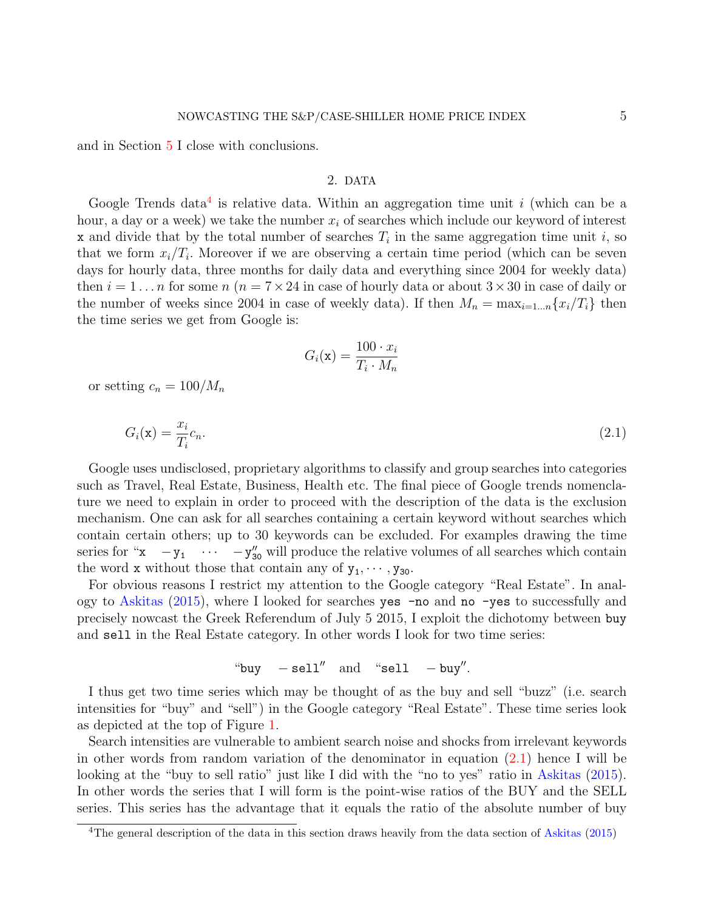and in Section [5](#page-13-6) I close with conclusions.

### 2. DATA

<span id="page-6-0"></span>Google Trends data<sup>[4](#page-6-1)</sup> is relative data. Within an aggregation time unit i (which can be a hour, a day or a week) we take the number  $x_i$  of searches which include our keyword of interest x and divide that by the total number of searches  $T_i$  in the same aggregation time unit i, so that we form  $x_i/T_i$ . Moreover if we are observing a certain time period (which can be seven days for hourly data, three months for daily data and everything since 2004 for weekly data) then  $i = 1 \dots n$  for some  $n (n = 7 \times 24)$  in case of hourly data or about  $3 \times 30$  in case of daily or the number of weeks since 2004 in case of weekly data). If then  $M_n = \max_{i=1...n} \{x_i/T_i\}$  then the time series we get from Google is:

$$
G_i(\mathbf{x}) = \frac{100 \cdot x_i}{T_i \cdot M_n}
$$

<span id="page-6-2"></span>or setting  $c_n = 100/M_n$ 

$$
G_i(\mathbf{x}) = \frac{x_i}{T_i} c_n. \tag{2.1}
$$

Google uses undisclosed, proprietary algorithms to classify and group searches into categories such as Travel, Real Estate, Business, Health etc. The final piece of Google trends nomenclature we need to explain in order to proceed with the description of the data is the exclusion mechanism. One can ask for all searches containing a certain keyword without searches which contain certain others; up to 30 keywords can be excluded. For examples drawing the time series for " $x - y_1 \cdots - y_{30}''$  will produce the relative volumes of all searches which contain the word **x** without those that contain any of  $y_1, \dots, y_{30}$ .

For obvious reasons I restrict my attention to the Google category "Real Estate". In analogy to [Askitas](#page-13-2) [\(2015\)](#page-13-2), where I looked for searches yes -no and no -yes to successfully and precisely nowcast the Greek Referendum of July 5 2015, I exploit the dichotomy between buy and sell in the Real Estate category. In other words I look for two time series:

"buy 
$$
- \text{sell}''
$$
 and "sell  $- \text{buy}''$ .

I thus get two time series which may be thought of as the buy and sell "buzz" (i.e. search intensities for "buy" and "sell") in the Google category "Real Estate". These time series look as depicted at the top of Figure [1.](#page-7-0)

Search intensities are vulnerable to ambient search noise and shocks from irrelevant keywords in other words from random variation of the denominator in equation [\(2.1\)](#page-6-2) hence I will be looking at the "buy to sell ratio" just like I did with the "no to yes" ratio in [Askitas](#page-13-2) [\(2015\)](#page-13-2). In other words the series that I will form is the point-wise ratios of the BUY and the SELL series. This series has the advantage that it equals the ratio of the absolute number of buy

<span id="page-6-1"></span><sup>&</sup>lt;sup>4</sup>The general description of the data in this section draws heavily from the data section of [Askitas](#page-13-2) [\(2015\)](#page-13-2)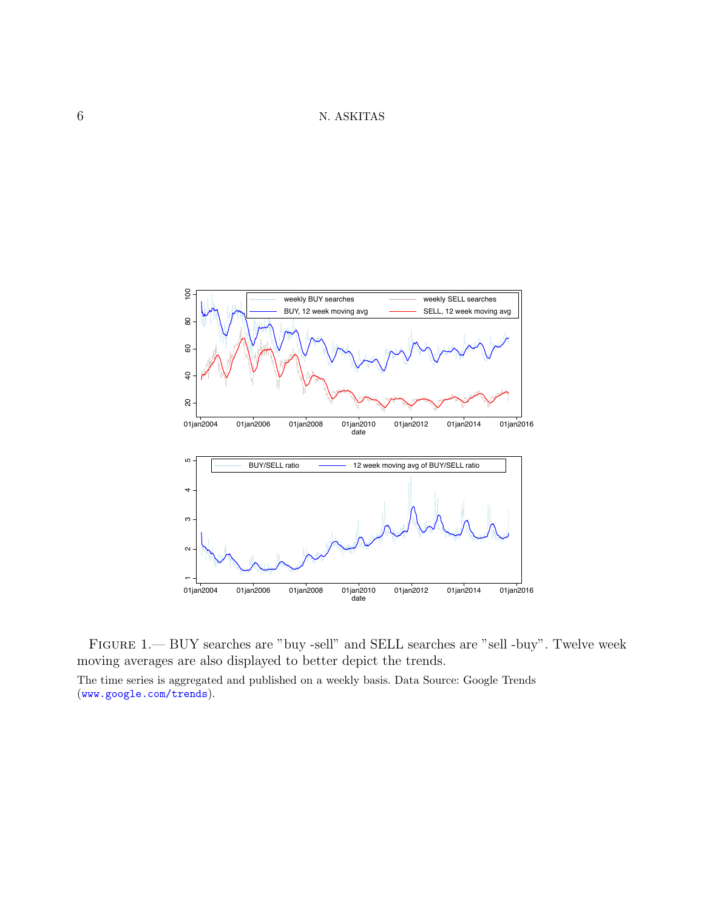6 N. ASKITAS



<span id="page-7-0"></span>Figure 1.— BUY searches are "buy -sell" and SELL searches are "sell -buy". Twelve week moving averages are also displayed to better depict the trends. The time series is aggregated and published on a weekly basis. Data Source: Google Trends (<www.google.com/trends>).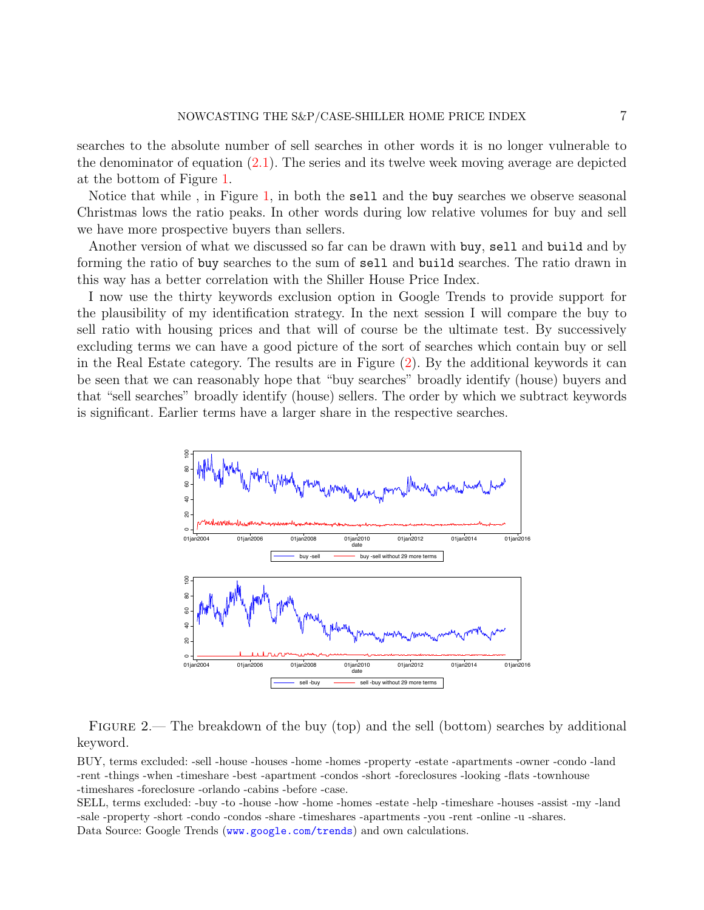searches to the absolute number of sell searches in other words it is no longer vulnerable to the denominator of equation [\(2.1\)](#page-6-2). The series and its twelve week moving average are depicted at the bottom of Figure [1.](#page-7-0)

Notice that while , in Figure [1,](#page-7-0) in both the sell and the buy searches we observe seasonal Christmas lows the ratio peaks. In other words during low relative volumes for buy and sell we have more prospective buyers than sellers.

Another version of what we discussed so far can be drawn with buy, sell and build and by forming the ratio of buy searches to the sum of sell and build searches. The ratio drawn in this way has a better correlation with the Shiller House Price Index.

I now use the thirty keywords exclusion option in Google Trends to provide support for the plausibility of my identification strategy. In the next session I will compare the buy to sell ratio with housing prices and that will of course be the ultimate test. By successively excluding terms we can have a good picture of the sort of searches which contain buy or sell in the Real Estate category. The results are in Figure [\(2\)](#page-8-0). By the additional keywords it can be seen that we can reasonably hope that "buy searches" broadly identify (house) buyers and that "sell searches" broadly identify (house) sellers. The order by which we subtract keywords is significant. Earlier terms have a larger share in the respective searches.



<span id="page-8-0"></span>FIGURE 2.— The breakdown of the buy (top) and the sell (bottom) searches by additional keyword.

BUY, terms excluded: -sell -house -houses -home -homes -property -estate -apartments -owner -condo -land -rent -things -when -timeshare -best -apartment -condos -short -foreclosures -looking -flats -townhouse -timeshares -foreclosure -orlando -cabins -before -case.

SELL, terms excluded: -buy -to -house -how -home -homes -estate -help -timeshare -houses -assist -my -land -sale -property -short -condo -condos -share -timeshares -apartments -you -rent -online -u -shares. Data Source: Google Trends (<www.google.com/trends>) and own calculations.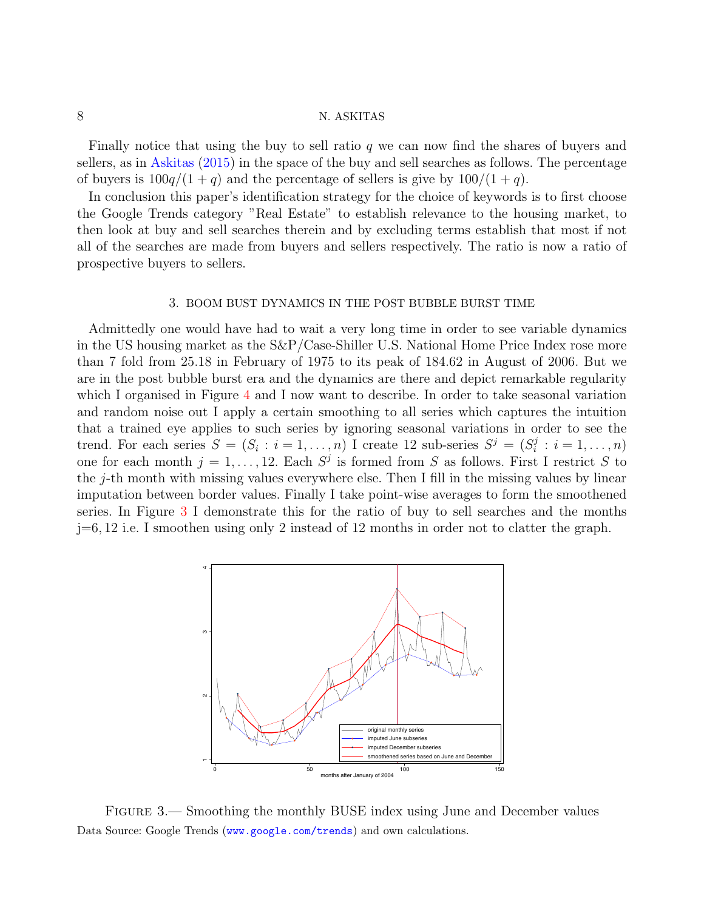Finally notice that using the buy to sell ratio  $q$  we can now find the shares of buyers and sellers, as in [Askitas](#page-13-2) [\(2015\)](#page-13-2) in the space of the buy and sell searches as follows. The percentage of buyers is  $100q/(1+q)$  and the percentage of sellers is give by  $100/(1+q)$ .

In conclusion this paper's identification strategy for the choice of keywords is to first choose the Google Trends category "Real Estate" to establish relevance to the housing market, to then look at buy and sell searches therein and by excluding terms establish that most if not all of the searches are made from buyers and sellers respectively. The ratio is now a ratio of prospective buyers to sellers.

#### 3. BOOM BUST DYNAMICS IN THE POST BUBBLE BURST TIME

<span id="page-9-0"></span>Admittedly one would have had to wait a very long time in order to see variable dynamics in the US housing market as the S&P/Case-Shiller U.S. National Home Price Index rose more than 7 fold from 25.18 in February of 1975 to its peak of 184.62 in August of 2006. But we are in the post bubble burst era and the dynamics are there and depict remarkable regularity which I organised in Figure [4](#page-10-0) and I now want to describe. In order to take seasonal variation and random noise out I apply a certain smoothing to all series which captures the intuition that a trained eye applies to such series by ignoring seasonal variations in order to see the trend. For each series  $S = (S_i : i = 1, ..., n)$  I create 12 sub-series  $S^j = (S_i^j)$  $i = 1, \ldots, n$ one for each month  $j = 1, ..., 12$ . Each  $S^j$  is formed from S as follows. First I restrict S to the j-th month with missing values everywhere else. Then I fill in the missing values by linear imputation between border values. Finally I take point-wise averages to form the smoothened series. In Figure [3](#page-9-1) I demonstrate this for the ratio of buy to sell searches and the months j=6, 12 i.e. I smoothen using only 2 instead of 12 months in order not to clatter the graph.



<span id="page-9-1"></span>Figure 3.— Smoothing the monthly BUSE index using June and December values Data Source: Google Trends (<www.google.com/trends>) and own calculations.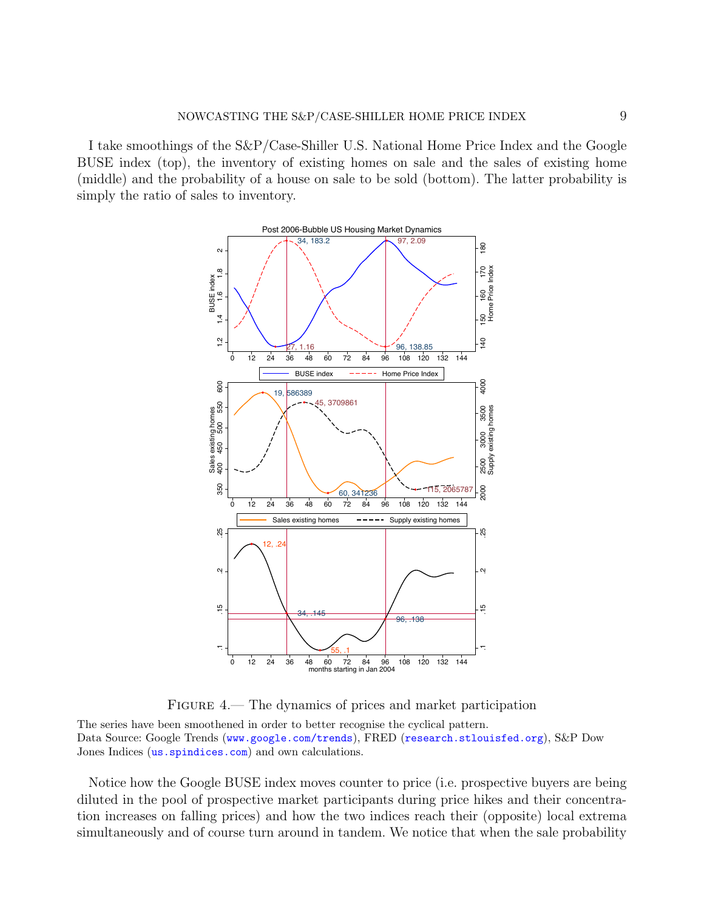I take smoothings of the S&P/Case-Shiller U.S. National Home Price Index and the Google BUSE index (top), the inventory of existing homes on sale and the sales of existing home (middle) and the probability of a house on sale to be sold (bottom). The latter probability is simply the ratio of sales to inventory.



<span id="page-10-0"></span>FIGURE 4.— The dynamics of prices and market participation

The series have been smoothened in order to better recognise the cyclical pattern. Data Source: Google Trends (<www.google.com/trends>), FRED (<research.stlouisfed.org>), S&P Dow Jones Indices (us. spindices.com) and own calculations.

Notice how the Google BUSE index moves counter to price (i.e. prospective buyers are being diluted in the pool of prospective market participants during price hikes and their concentration increases on falling prices) and how the two indices reach their (opposite) local extrema simultaneously and of course turn around in tandem. We notice that when the sale probability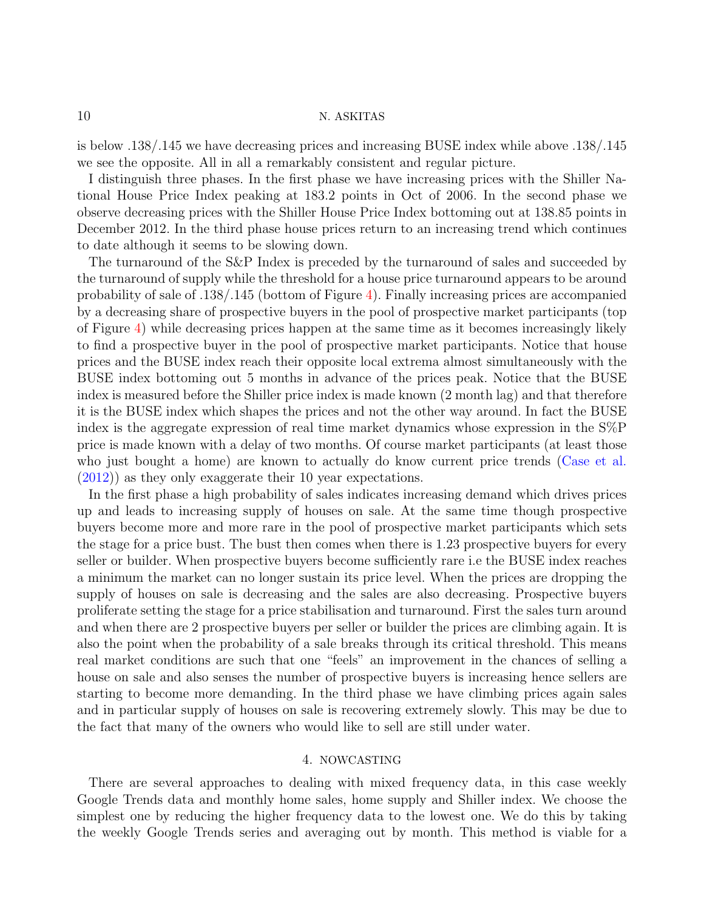is below .138/.145 we have decreasing prices and increasing BUSE index while above .138/.145 we see the opposite. All in all a remarkably consistent and regular picture.

I distinguish three phases. In the first phase we have increasing prices with the Shiller National House Price Index peaking at 183.2 points in Oct of 2006. In the second phase we observe decreasing prices with the Shiller House Price Index bottoming out at 138.85 points in December 2012. In the third phase house prices return to an increasing trend which continues to date although it seems to be slowing down.

The turnaround of the S&P Index is preceded by the turnaround of sales and succeeded by the turnaround of supply while the threshold for a house price turnaround appears to be around probability of sale of .138/.145 (bottom of Figure [4\)](#page-10-0). Finally increasing prices are accompanied by a decreasing share of prospective buyers in the pool of prospective market participants (top of Figure [4\)](#page-10-0) while decreasing prices happen at the same time as it becomes increasingly likely to find a prospective buyer in the pool of prospective market participants. Notice that house prices and the BUSE index reach their opposite local extrema almost simultaneously with the BUSE index bottoming out 5 months in advance of the prices peak. Notice that the BUSE index is measured before the Shiller price index is made known (2 month lag) and that therefore it is the BUSE index which shapes the prices and not the other way around. In fact the BUSE index is the aggregate expression of real time market dynamics whose expression in the S%P price is made known with a delay of two months. Of course market participants (at least those who just bought a home) are known to actually do know current price trends [\(Case et al.](#page-13-7) [\(2012\)](#page-13-7)) as they only exaggerate their 10 year expectations.

In the first phase a high probability of sales indicates increasing demand which drives prices up and leads to increasing supply of houses on sale. At the same time though prospective buyers become more and more rare in the pool of prospective market participants which sets the stage for a price bust. The bust then comes when there is 1.23 prospective buyers for every seller or builder. When prospective buyers become sufficiently rare i.e the BUSE index reaches a minimum the market can no longer sustain its price level. When the prices are dropping the supply of houses on sale is decreasing and the sales are also decreasing. Prospective buyers proliferate setting the stage for a price stabilisation and turnaround. First the sales turn around and when there are 2 prospective buyers per seller or builder the prices are climbing again. It is also the point when the probability of a sale breaks through its critical threshold. This means real market conditions are such that one "feels" an improvement in the chances of selling a house on sale and also senses the number of prospective buyers is increasing hence sellers are starting to become more demanding. In the third phase we have climbing prices again sales and in particular supply of houses on sale is recovering extremely slowly. This may be due to the fact that many of the owners who would like to sell are still under water.

### 4. NOWCASTING

<span id="page-11-0"></span>There are several approaches to dealing with mixed frequency data, in this case weekly Google Trends data and monthly home sales, home supply and Shiller index. We choose the simplest one by reducing the higher frequency data to the lowest one. We do this by taking the weekly Google Trends series and averaging out by month. This method is viable for a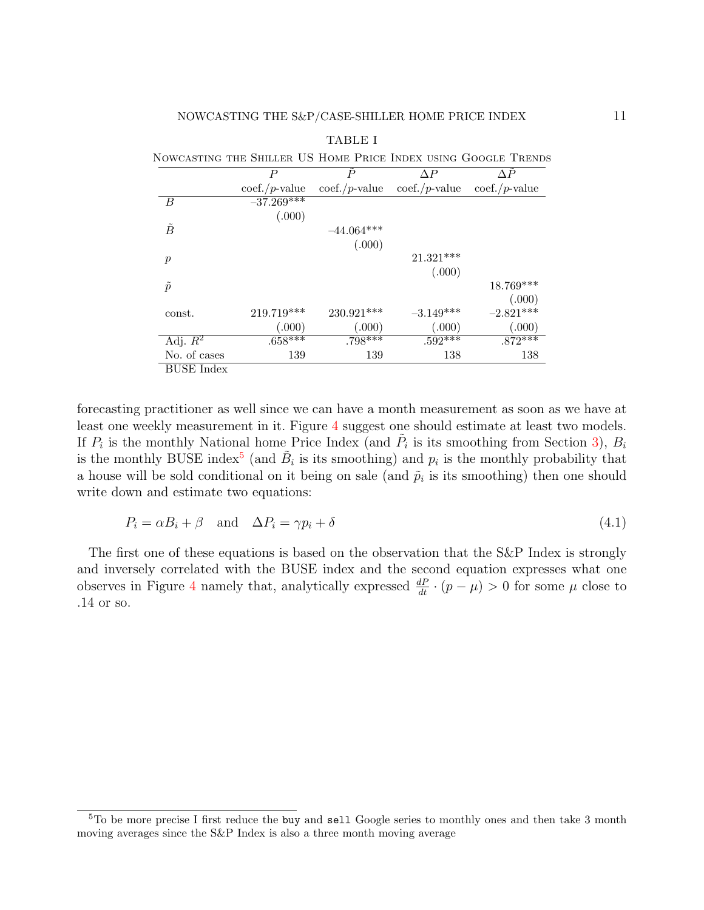|                   |                    |                    |                                  | NOWCASTING THE SHILLER US HOME PRICE INDEX USING GOOGLE TRENDS |
|-------------------|--------------------|--------------------|----------------------------------|----------------------------------------------------------------|
|                   | Р                  | $\boldsymbol{P}$   | ΛP                               | ΛP                                                             |
|                   | $\cot f$ ./p-value | $\cot f$ ./p-value | $\mathrm{coeff.}/p\text{-value}$ | $\cot f$ ./p-value                                             |
| - B               | $-37.269***$       |                    |                                  |                                                                |
|                   | (.000)             |                    |                                  |                                                                |
| $\tilde{B}$       |                    | $-44.064***$       |                                  |                                                                |
|                   |                    | (.000)             |                                  |                                                                |
| $\boldsymbol{p}$  |                    |                    | 21.321***                        |                                                                |
|                   |                    |                    | (.000)                           |                                                                |
| $\tilde{p}$       |                    |                    |                                  | 18.769***                                                      |
|                   |                    |                    |                                  | (.000)                                                         |
| const.            | $219.719***$       | $230.921***$       | $-3.149***$                      | $-2.821***$                                                    |
|                   | (.000)             | (.000)             | (.000)                           | (.000)                                                         |
| Adj. $R^2$        | $.658***$          | $.798***$          | $.592***$                        | $.872***$                                                      |
| No. of cases      | 139                | 139                | 138                              | 138                                                            |
| <b>BUSE</b> Index |                    |                    |                                  |                                                                |

forecasting practitioner as well since we can have a month measurement as soon as we have at least one weekly measurement in it. Figure [4](#page-10-0) suggest one should estimate at least two models. If  $P_i$  is the monthly National home Price Index (and  $\tilde{P}_i$  is its smoothing from Section [3\)](#page-9-0),  $B_i$ is the monthly BUSE index<sup>[5](#page-12-0)</sup> (and  $\tilde{B}_i$  is its smoothing) and  $p_i$  is the monthly probability that a house will be sold conditional on it being on sale (and  $\tilde{p}_i$  is its smoothing) then one should write down and estimate two equations:

$$
P_i = \alpha B_i + \beta \quad \text{and} \quad \Delta P_i = \gamma p_i + \delta \tag{4.1}
$$

The first one of these equations is based on the observation that the S&P Index is strongly and inversely correlated with the BUSE index and the second equation expresses what one observes in Figure [4](#page-10-0) namely that, analytically expressed  $\frac{dP}{dt} \cdot (p - \mu) > 0$  for some  $\mu$  close to .14 or so.

<span id="page-12-0"></span> $5T_0$  be more precise I first reduce the buy and sell Google series to monthly ones and then take 3 month moving averages since the S&P Index is also a three month moving average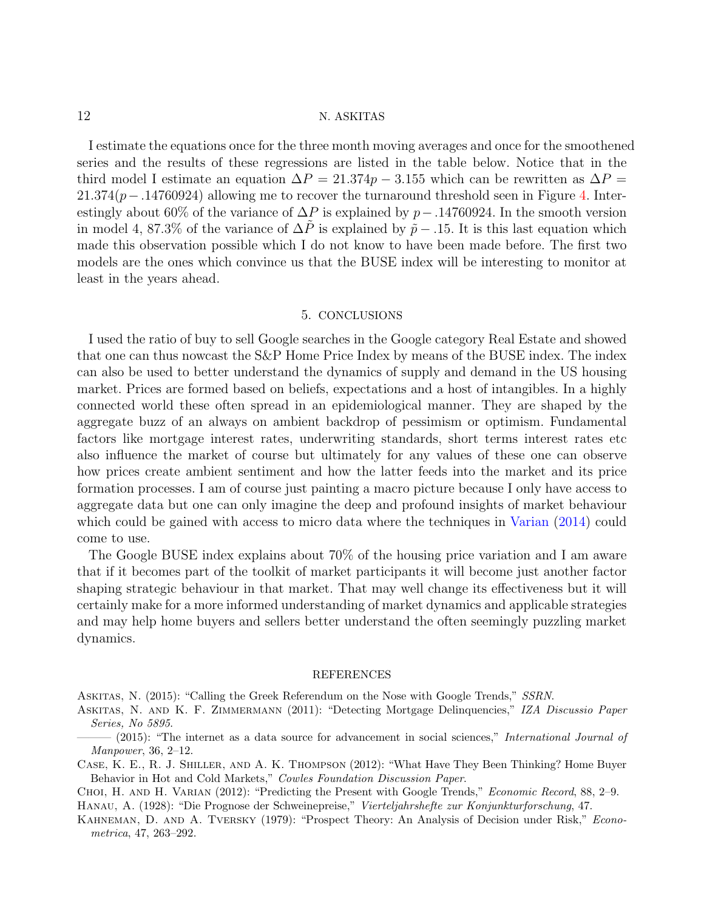I estimate the equations once for the three month moving averages and once for the smoothened series and the results of these regressions are listed in the table below. Notice that in the third model I estimate an equation  $\Delta P = 21.374p - 3.155$  which can be rewritten as  $\Delta P =$  $21.374(p-.14760924)$  allowing me to recover the turnaround threshold seen in Figure [4.](#page-10-0) Interestingly about 60% of the variance of  $\Delta P$  is explained by p−.14760924. In the smooth version in model 4, 87.3% of the variance of  $\Delta P$  is explained by  $\tilde{p}$  − .15. It is this last equation which made this observation possible which I do not know to have been made before. The first two models are the ones which convince us that the BUSE index will be interesting to monitor at least in the years ahead.

#### 5. CONCLUSIONS

<span id="page-13-6"></span>I used the ratio of buy to sell Google searches in the Google category Real Estate and showed that one can thus nowcast the S&P Home Price Index by means of the BUSE index. The index can also be used to better understand the dynamics of supply and demand in the US housing market. Prices are formed based on beliefs, expectations and a host of intangibles. In a highly connected world these often spread in an epidemiological manner. They are shaped by the aggregate buzz of an always on ambient backdrop of pessimism or optimism. Fundamental factors like mortgage interest rates, underwriting standards, short terms interest rates etc also influence the market of course but ultimately for any values of these one can observe how prices create ambient sentiment and how the latter feeds into the market and its price formation processes. I am of course just painting a macro picture because I only have access to aggregate data but one can only imagine the deep and profound insights of market behaviour which could be gained with access to micro data where the techniques in [Varian](#page-14-0) [\(2014\)](#page-14-0) could come to use.

The Google BUSE index explains about 70% of the housing price variation and I am aware that if it becomes part of the toolkit of market participants it will become just another factor shaping strategic behaviour in that market. That may well change its effectiveness but it will certainly make for a more informed understanding of market dynamics and applicable strategies and may help home buyers and sellers better understand the often seemingly puzzling market dynamics.

#### REFERENCES

<span id="page-13-2"></span>ASKITAS, N. (2015): "Calling the Greek Referendum on the Nose with Google Trends," SSRN.

- <span id="page-13-1"></span>ASKITAS, N. AND K. F. ZIMMERMANN (2011): "Detecting Mortgage Delinquencies," IZA Discussio Paper Series, No 5895.
- <span id="page-13-0"></span> $-$  (2015): "The internet as a data source for advancement in social sciences," International Journal of Manpower, 36, 2–12.
- <span id="page-13-7"></span>Case, K. E., R. J. Shiller, and A. K. Thompson (2012): "What Have They Been Thinking? Home Buyer Behavior in Hot and Cold Markets," Cowles Foundation Discussion Paper.

<span id="page-13-5"></span><span id="page-13-3"></span>CHOI, H. AND H. VARIAN (2012): "Predicting the Present with Google Trends," *Economic Record*, 88, 2–9. Hanau, A. (1928): "Die Prognose der Schweinepreise," Vierteljahrshefte zur Konjunkturforschung, 47.

<span id="page-13-4"></span>KAHNEMAN, D. AND A. TVERSKY (1979): "Prospect Theory: An Analysis of Decision under Risk," *Econo*metrica, 47, 263–292.